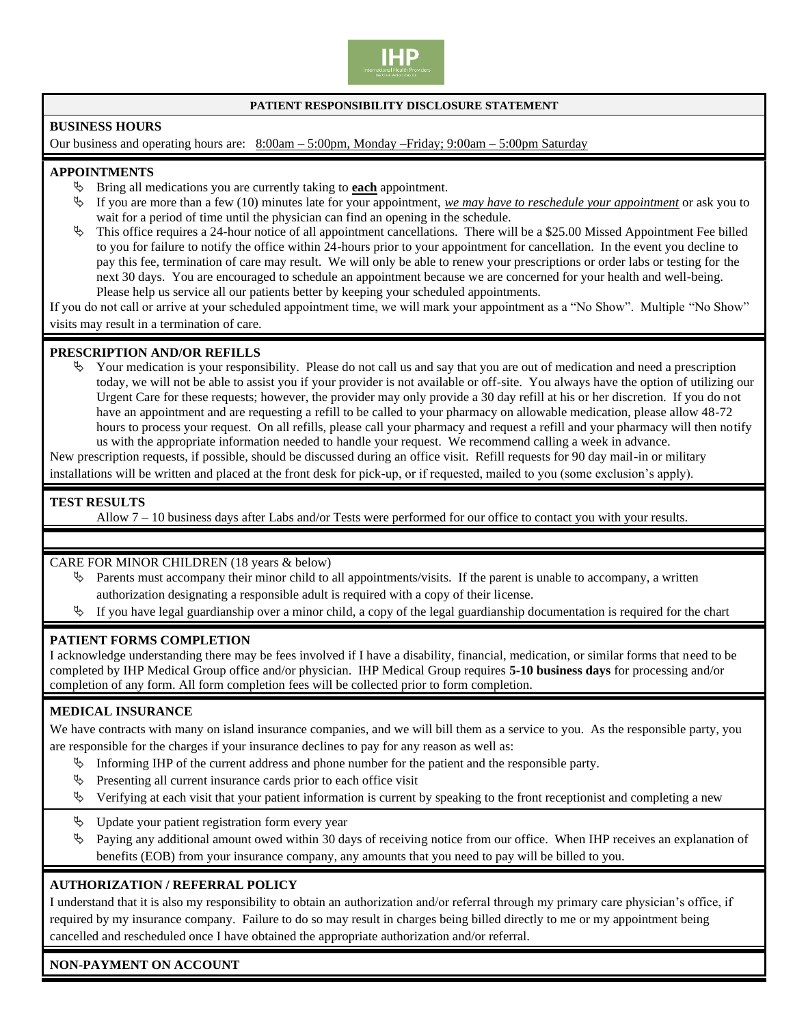

### **PATIENT RESPONSIBILITY DISCLOSURE STATEMENT**

### **BUSINESS HOURS**

Our business and operating hours are: 8:00am – 5:00pm, Monday –Friday; 9:00am – 5:00pm Saturday

### **APPOINTMENTS**

- Bring all medications you are currently taking to **each** appointment.
- If you are more than a few (10) minutes late for your appointment, *we may have to reschedule your appointment* or ask you to wait for a period of time until the physician can find an opening in the schedule.
- $\%$  This office requires a 24-hour notice of all appointment cancellations. There will be a \$25.00 Missed Appointment Fee billed to you for failure to notify the office within 24-hours prior to your appointment for cancellation. In the event you decline to pay this fee, termination of care may result. We will only be able to renew your prescriptions or order labs or testing for the next 30 days. You are encouraged to schedule an appointment because we are concerned for your health and well-being. Please help us service all our patients better by keeping your scheduled appointments.

If you do not call or arrive at your scheduled appointment time, we will mark your appointment as a "No Show". Multiple "No Show" visits may result in a termination of care.

### **PRESCRIPTION AND/OR REFILLS**

 $\lozenge$  Your medication is your responsibility. Please do not call us and say that you are out of medication and need a prescription today, we will not be able to assist you if your provider is not available or off-site. You always have the option of utilizing our Urgent Care for these requests; however, the provider may only provide a 30 day refill at his or her discretion. If you do not have an appointment and are requesting a refill to be called to your pharmacy on allowable medication, please allow 48-72 hours to process your request. On all refills, please call your pharmacy and request a refill and your pharmacy will then notify us with the appropriate information needed to handle your request. We recommend calling a week in advance.

New prescription requests, if possible, should be discussed during an office visit. Refill requests for 90 day mail-in or military

installations will be written and placed at the front desk for pick-up, or if requested, mailed to you (some exclusion's apply).

## **TEST RESULTS**

Allow 7 – 10 business days after Labs and/or Tests were performed for our office to contact you with your results.

CARE FOR MINOR CHILDREN (18 years & below)

- $\&$  Parents must accompany their minor child to all appointments/visits. If the parent is unable to accompany, a written authorization designating a responsible adult is required with a copy of their license.
- If you have legal guardianship over a minor child, a copy of the legal guardianship documentation is required for the chart

### **PATIENT FORMS COMPLETION**

I acknowledge understanding there may be fees involved if I have a disability, financial, medication, or similar forms that need to be completed by IHP Medical Group office and/or physician. IHP Medical Group requires **5-10 business days** for processing and/or completion of any form. All form completion fees will be collected prior to form completion.

### **MEDICAL INSURANCE**

We have contracts with many on island insurance companies, and we will bill them as a service to you. As the responsible party, you are responsible for the charges if your insurance declines to pay for any reason as well as:

- Informing IHP of the current address and phone number for the patient and the responsible party.
- $\&$  Presenting all current insurance cards prior to each office visit
- $\mathbb V$  Verifying at each visit that your patient information is current by speaking to the front receptionist and completing a new
- $\&$  Update your patient registration form every year
- $\%$  Paying any additional amount owed within 30 days of receiving notice from our office. When IHP receives an explanation of benefits (EOB) from your insurance company, any amounts that you need to pay will be billed to you.

### **AUTHORIZATION / REFERRAL POLICY**

I understand that it is also my responsibility to obtain an authorization and/or referral through my primary care physician's office, if required by my insurance company. Failure to do so may result in charges being billed directly to me or my appointment being cancelled and rescheduled once I have obtained the appropriate authorization and/or referral.

## **NON-PAYMENT ON ACCOUNT**